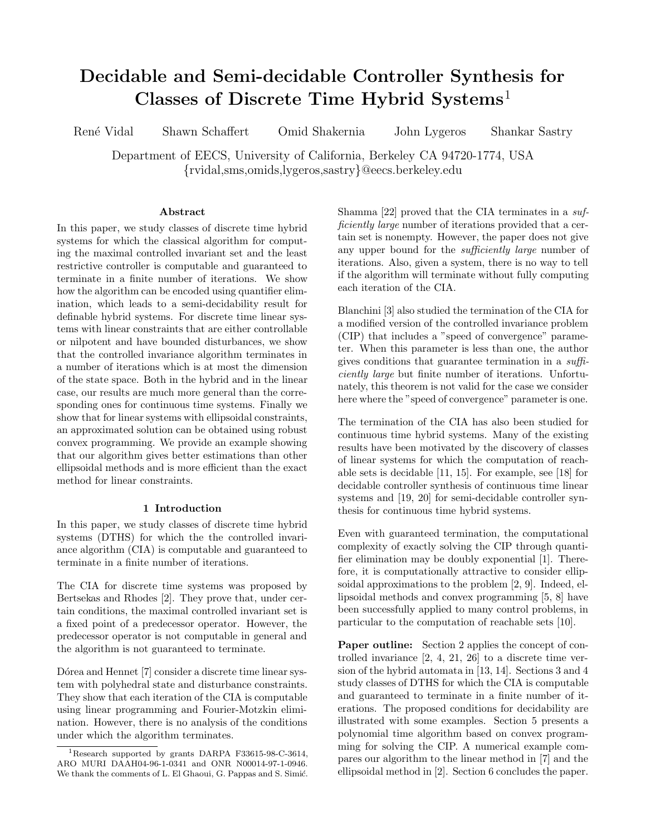# **Decidable and Semi-decidable Controller Synthesis for Classes of Discrete Time Hybrid Systems**<sup>1</sup>

René Vidal Shawn Schaffert Omid Shakernia John Lygeros Shankar Sastry

Department of EECS, University of California, Berkeley CA 94720-1774, USA {rvidal,sms,omids,lygeros,sastry}@eecs.berkeley.edu

### **Abstract**

In this paper, we study classes of discrete time hybrid systems for which the classical algorithm for computing the maximal controlled invariant set and the least restrictive controller is computable and guaranteed to terminate in a finite number of iterations. We show how the algorithm can be encoded using quantifier elimination, which leads to a semi-decidability result for definable hybrid systems. For discrete time linear systems with linear constraints that are either controllable or nilpotent and have bounded disturbances, we show that the controlled invariance algorithm terminates in a number of iterations which is at most the dimension of the state space. Both in the hybrid and in the linear case, our results are much more general than the corresponding ones for continuous time systems. Finally we show that for linear systems with ellipsoidal constraints, an approximated solution can be obtained using robust convex programming. We provide an example showing that our algorithm gives better estimations than other ellipsoidal methods and is more efficient than the exact method for linear constraints.

## **1 Introduction**

In this paper, we study classes of discrete time hybrid systems (DTHS) for which the the controlled invariance algorithm (CIA) is computable and guaranteed to terminate in a finite number of iterations.

The CIA for discrete time systems was proposed by Bertsekas and Rhodes [2]. They prove that, under certain conditions, the maximal controlled invariant set is a fixed point of a predecessor operator. However, the predecessor operator is not computable in general and the algorithm is not guaranteed to terminate.

Dórea and Hennet [7] consider a discrete time linear system with polyhedral state and disturbance constraints. They show that each iteration of the CIA is computable using linear programming and Fourier-Motzkin elimination. However, there is no analysis of the conditions under which the algorithm terminates.

Shamma [22] proved that the CIA terminates in a *sufficiently large* number of iterations provided that a certain set is nonempty. However, the paper does not give any upper bound for the *sufficiently large* number of iterations. Also, given a system, there is no way to tell if the algorithm will terminate without fully computing each iteration of the CIA.

Blanchini [3] also studied the termination of the CIA for a modified version of the controlled invariance problem (CIP) that includes a "speed of convergence" parameter. When this parameter is less than one, the author gives conditions that guarantee termination in a *sufficiently large* but finite number of iterations. Unfortunately, this theorem is not valid for the case we consider here where the "speed of convergence" parameter is one.

The termination of the CIA has also been studied for continuous time hybrid systems. Many of the existing results have been motivated by the discovery of classes of linear systems for which the computation of reachable sets is decidable [11, 15]. For example, see [18] for decidable controller synthesis of continuous time linear systems and [19, 20] for semi-decidable controller synthesis for continuous time hybrid systems.

Even with guaranteed termination, the computational complexity of exactly solving the CIP through quantifier elimination may be doubly exponential [1]. Therefore, it is computationally attractive to consider ellipsoidal approximations to the problem [2, 9]. Indeed, ellipsoidal methods and convex programming [5, 8] have been successfully applied to many control problems, in particular to the computation of reachable sets [10].

**Paper outline:** Section 2 applies the concept of controlled invariance [2, 4, 21, 26] to a discrete time version of the hybrid automata in [13, 14]. Sections 3 and 4 study classes of DTHS for which the CIA is computable and guaranteed to terminate in a finite number of iterations. The proposed conditions for decidability are illustrated with some examples. Section 5 presents a polynomial time algorithm based on convex programming for solving the CIP. A numerical example compares our algorithm to the linear method in [7] and the ellipsoidal method in [2]. Section 6 concludes the paper.

<sup>1</sup>Research supported by grants DARPA F33615-98-C-3614, ARO MURI DAAH04-96-1-0341 and ONR N00014-97-1-0946. We thank the comments of L. El Ghaoui, G. Pappas and S. Simić.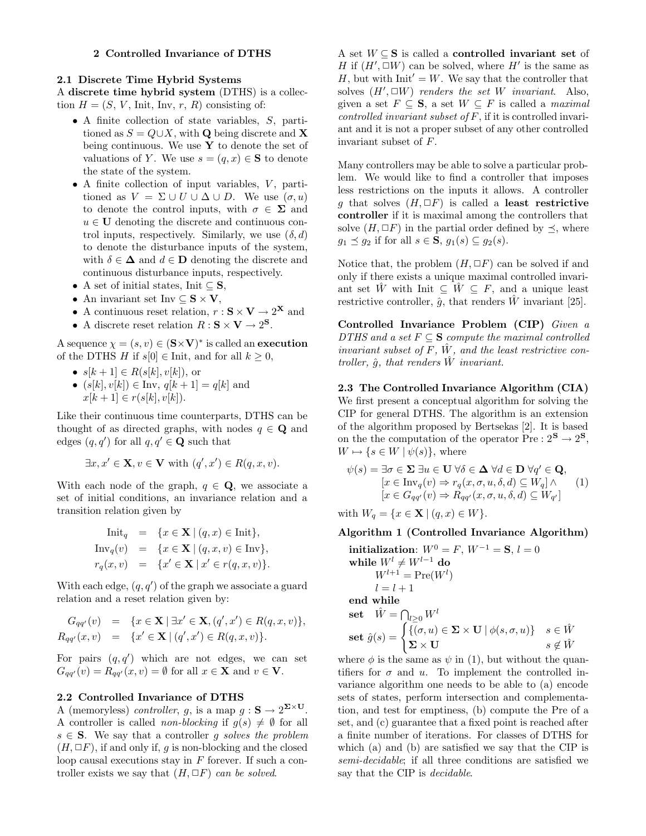### **2 Controlled Invariance of DTHS**

# **2.1 Discrete Time Hybrid Systems**

A **discrete time hybrid system** (DTHS) is a collection  $H = (S, V, \text{Init}, \text{Inv}, r, R)$  consisting of:

- A finite collection of state variables, S, partitioned as  $S = Q \cup X$ , with **Q** being discrete and **X** being continuous. We use **Y** to denote the set of valuations of Y. We use  $s = (q, x) \in \mathbf{S}$  to denote the state of the system.
- $\bullet$  A finite collection of input variables,  $V$ , partitioned as  $V = \Sigma \cup U \cup \Delta \cup D$ . We use  $(\sigma, u)$ to denote the control inputs, with  $\sigma \in \Sigma$  and  $u \in U$  denoting the discrete and continuous control inputs, respectively. Similarly, we use  $(\delta, d)$ to denote the disturbance inputs of the system, with  $\delta \in \mathbf{\Delta}$  and  $d \in \mathbf{D}$  denoting the discrete and continuous disturbance inputs, respectively.
- A set of initial states, Init ⊆ **S**,
- An invariant set Inv  $\subseteq$  **S**  $\times$  **V**,
- $\bullet$  A continuous reset relation,  $r : \mathbf{S} \times \mathbf{V} \to 2^{\mathbf{X}}$  and
- A discrete reset relation  $R : S \times V \to 2^S$ .

A sequence  $\chi = (s, v) \in (\mathbf{S} \times \mathbf{V})^*$  is called an **execution** of the DTHS H if  $s[0] \in$  Init, and for all  $k \geq 0$ ,

- $s[k+1] \in R(s[k], v[k]),$  or
- $(s[k], v[k]) \in \text{Inv}, q[k+1] = q[k]$  and  $x[k+1] \in r(s[k], v[k]).$

Like their continuous time counterparts, DTHS can be thought of as directed graphs, with nodes  $q \in \mathbf{Q}$  and edges  $(q, q')$  for all  $q, q' \in \mathbf{Q}$  such that

$$
\exists x, x' \in \mathbf{X}, v \in \mathbf{V} \text{ with } (q', x') \in R(q, x, v).
$$

With each node of the graph,  $q \in \mathbf{Q}$ , we associate a set of initial conditions, an invariance relation and a transition relation given by

$$
\begin{array}{rcl}\n\text{Init}_q & = & \{x \in \mathbf{X} \mid (q, x) \in \text{Init}\}, \\
\text{Inv}_q(v) & = & \{x \in \mathbf{X} \mid (q, x, v) \in \text{Inv}\}, \\
r_q(x, v) & = & \{x' \in \mathbf{X} \mid x' \in r(q, x, v)\}.\n\end{array}
$$

With each edge,  $(q, q')$  of the graph we associate a guard relation and a reset relation given by:

$$
G_{qq'}(v) = \{x \in \mathbf{X} \mid \exists x' \in \mathbf{X}, (q', x') \in R(q, x, v)\},
$$
  
\n
$$
R_{qq'}(x, v) = \{x' \in \mathbf{X} \mid (q', x') \in R(q, x, v)\}.
$$

For pairs  $(q, q')$  which are not edges, we can set  $G_{qq'}(v) = R_{qq'}(x, v) = \emptyset$  for all  $x \in \mathbf{X}$  and  $v \in \mathbf{V}$ .

#### **2.2 Controlled Invariance of DTHS**

A (memoryless) *controller*, q, is a map  $q : \mathbf{S} \to 2^{\mathbf{\Sigma} \times \mathbf{U}}$ . A controller is called *non-blocking* if  $g(s) \neq \emptyset$  for all  $s \in S$ . We say that a controller q *solves the problem*  $(H, \Box F)$ , if and only if, g is non-blocking and the closed loop causal executions stay in  $F$  forever. If such a controller exists we say that  $(H, \Box F)$  *can be solved.* 

A set W ⊆ **S** is called a **controlled invariant set** of H if  $(H', \Box W)$  can be solved, where H' is the same as H, but with  $Init' = W$ . We say that the controller that solves  $(H', \Box W)$  *renders the set* W *invariant*. Also, given a set  $F \subseteq \mathbf{S}$ , a set  $W \subseteq F$  is called a *maximal controlled invariant subset of* F, if it is controlled invariant and it is not a proper subset of any other controlled invariant subset of F.

Many controllers may be able to solve a particular problem. We would like to find a controller that imposes less restrictions on the inputs it allows. A controller g that solves  $(H, \Box F)$  is called a **least restrictive controller** if it is maximal among the controllers that solve  $(H, \Box F)$  in the partial order defined by  $\prec$ , where  $g_1 \preceq g_2$  if for all  $s \in \mathbf{S}$ ,  $g_1(s) \subseteq g_2(s)$ .

Notice that, the problem  $(H, \Box F)$  can be solved if and only if there exists a unique maximal controlled invariant set  $\hat{W}$  with Init  $\subseteq \hat{W} \subseteq F$ , and a unique least restrictive controller,  $\hat{q}$ , that renders  $\hat{W}$  invariant [25].

**Controlled Invariance Problem (CIP)** *Given a DTHS and a set*  $F \subseteq S$  *compute the maximal controlled invariant subset of*  $F$ ,  $\hat{W}$ , and the least restrictive con*troller,*  $\hat{q}$ *, that renders*  $\hat{W}$  *invariant.* 

**2.3 The Controlled Invariance Algorithm (CIA)** We first present a conceptual algorithm for solving the CIP for general DTHS. The algorithm is an extension of the algorithm proposed by Bertsekas [2]. It is based on the the computation of the operator  $Pre: 2^{\mathbf{S}} \to 2^{\mathbf{S}}$ ,  $W \mapsto \{s \in W \mid \psi(s)\}\$ , where

$$
\psi(s) = \exists \sigma \in \Sigma \ \exists u \in \mathbf{U} \ \forall \delta \in \Delta \ \forall d \in \mathbf{D} \ \forall q' \in \mathbf{Q},
$$
  
\n
$$
[x \in \text{Inv}_q(v) \Rightarrow r_q(x, \sigma, u, \delta, d) \subseteq W_q] \land \qquad (1)
$$
  
\n
$$
[x \in G_{qq'}(v) \Rightarrow R_{qq'}(x, \sigma, u, \delta, d) \subseteq W_{q'}]
$$

with  $W_q = \{x \in \mathbf{X} \mid (q, x) \in W\}.$ 

### **Algorithm 1 (Controlled Invariance Algorithm)**

**initialization**: 
$$
W^0 = F
$$
,  $W^{-1} = S$ ,  $l = 0$   
\n**while**  $W^l \neq W^{l-1}$  **do**  
\n $W^{l+1} = \text{Pre}(W^l)$   
\n $l = l + 1$   
\n**end while**  
\n**set**  $\hat{W} = \bigcap_{l \geq 0} W^l$   
\n**set**  $\hat{g}(s) = \begin{cases} \{(\sigma, u) \in \Sigma \times \mathbf{U} \mid \phi(s, \sigma, u)\} & s \in \hat{W} \\ \Sigma \times \mathbf{U} & s \notin \hat{W} \end{cases}$ 

where  $\phi$  is the same as  $\psi$  in (1), but without the quantifiers for  $\sigma$  and  $u$ . To implement the controlled invariance algorithm one needs to be able to (a) encode sets of states, perform intersection and complementation, and test for emptiness, (b) compute the Pre of a set, and (c) guarantee that a fixed point is reached after a finite number of iterations. For classes of DTHS for which (a) and (b) are satisfied we say that the CIP is *semi-decidable*; if all three conditions are satisfied we say that the CIP is *decidable*.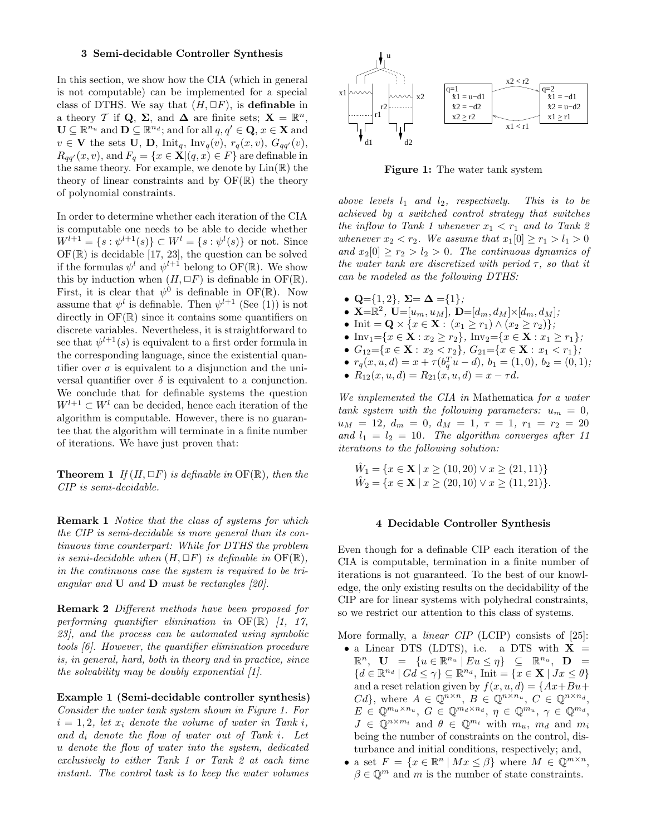#### **3 Semi-decidable Controller Synthesis**

In this section, we show how the CIA (which in general is not computable) can be implemented for a special class of DTHS. We say that  $(H, \Box F)$ , is **definable** in a theory T if Q,  $\Sigma$ , and  $\Delta$  are finite sets;  $\mathbf{X} = \mathbb{R}^n$ ,  $\mathbf{U} \subseteq \mathbb{R}^{n_u}$  and  $\mathbf{D} \subseteq \mathbb{R}^{n_d}$ ; and for all  $q, q' \in \mathbf{Q}, x \in \mathbf{X}$  and  $v \in \mathbf{V}$  the sets **U**, **D**,  $\text{Init}_q$ ,  $\text{Inv}_q(v)$ ,  $r_q(x, v)$ ,  $G_{qq'}(v)$ ,  $R_{qq'}(x, v)$ , and  $F_q = \{x \in \mathbf{X} | (q, x) \in F\}$  are definable in the same theory. For example, we denote by  $\text{Lin}(\mathbb{R})$  the theory of linear constraints and by  $\mathrm{OF}(\mathbb{R})$  the theory of polynomial constraints.

In order to determine whether each iteration of the CIA is computable one needs to be able to decide whether  $W^{l+1} = \{s : \psi^{l+1}(s)\} \subset W^l = \{s : \psi^l(s)\}$  or not. Since  $OF(\mathbb{R})$  is decidable [17, 23], the question can be solved if the formulas  $\psi^l$  and  $\psi^{l+1}$  belong to OF(R). We show this by induction when  $(H, \Box F)$  is definable in OF(R). First, it is clear that  $\psi^0$  is definable in OF(R). Now assume that  $\psi^l$  is definable. Then  $\psi^{l+1}$  (See (1)) is not directly in  $\mathrm{OF}(\mathbb{R})$  since it contains some quantifiers on discrete variables. Nevertheless, it is straightforward to see that  $\psi^{l+1}(s)$  is equivalent to a first order formula in the corresponding language, since the existential quantifier over  $\sigma$  is equivalent to a disjunction and the universal quantifier over  $\delta$  is equivalent to a conjunction. We conclude that for definable systems the question  $W^{l+1} \subset W^l$  can be decided, hence each iteration of the algorithm is computable. However, there is no guarantee that the algorithm will terminate in a finite number of iterations. We have just proven that:

**Theorem 1** *If*  $(H, \Box F)$  *is definable in* OF( $\mathbb{R}$ )*, then the CIP is semi-decidable.*

**Remark 1** *Notice that the class of systems for which the CIP is semi-decidable is more general than its continuous time counterpart: While for DTHS the problem is semi-decidable when*  $(H, \Box F)$  *is definable in*  $\overline{OF}(\mathbb{R})$ *, in the continuous case the system is required to be triangular and* **U** *and* **D** *must be rectangles [20].*

**Remark 2** *Different methods have been proposed for performing quantifier elimination in* OF(R) *[1, 17, 23], and the process can be automated using symbolic tools [6]. However, the quantifier elimination procedure is, in general, hard, both in theory and in practice, since the solvability may be doubly exponential [1].*

**Example 1 (Semi-decidable controller synthesis)** *Consider the water tank system shown in Figure 1. For*  $i = 1, 2$ , let  $x_i$  denote the volume of water in Tank i, *and* d<sup>i</sup> *denote the flow of water out of Tank* i*. Let* u *denote the flow of water into the system, dedicated exclusively to either Tank 1 or Tank 2 at each time instant. The control task is to keep the water volumes*



**Figure 1:** The water tank system

*above levels*  $l_1$  *and*  $l_2$ *, respectively. This is to be achieved by a switched control strategy that switches the inflow to Tank 1 whenever*  $x_1 < r_1$  *and to Tank 2 whenever*  $x_2 < r_2$ *. We assume that*  $x_1[0] \ge r_1 > l_1 > 0$ and  $x_2[0] \ge r_2 > l_2 > 0$ . The continuous dynamics of *the water tank are discretized with period* τ*, so that it can be modeled as the following DTHS:*

- $Q = \{1, 2\}$ ,  $\Sigma = \Delta = \{1\}$ ;
- **X**= $\mathbb{R}^2$ , **U**=[ $u_m, u_M$ ], **D**=[ $d_m, d_M$ ]×[ $d_m, d_M$ ];
- Init = **Q**  $\times$  { $x \in \mathbf{X}$  :  $(x_1 \geq r_1) \wedge (x_2 \geq r_2)$ };
- Inv<sub>1</sub>={ $x \in \mathbf{X} : x_2 \ge r_2$ }, Inv<sub>2</sub>={ $x \in \mathbf{X} : x_1 \ge r_1$ };
- $G_{12} = \{x \in \mathbf{X} : x_2 < r_2\},\ G_{21} = \{x \in \mathbf{X} : x_1 < r_1\};\$
- $r_q(x, u, d) = x + \tau(b_q^T u d), b_1 = (1, 0), b_2 = (0, 1);$
- $R_{12}(x, u, d) = R_{21}(x, u, d) = x \tau d$ .

*We implemented the CIA in* Mathematica *for a water tank system with the following parameters:*  $u_m = 0$ ,  $u_M = 12, d_m = 0, d_M = 1, \tau = 1, r_1 = r_2 = 20$ and  $l_1 = l_2 = 10$ . The algorithm converges after 11 *iterations to the following solution:*

$$
\hat{W}_1 = \{ x \in \mathbf{X} \mid x \ge (10, 20) \lor x \ge (21, 11) \}
$$
  

$$
\hat{W}_2 = \{ x \in \mathbf{X} \mid x \ge (20, 10) \lor x \ge (11, 21) \}.
$$

#### **4 Decidable Controller Synthesis**

Even though for a definable CIP each iteration of the CIA is computable, termination in a finite number of iterations is not guaranteed. To the best of our knowledge, the only existing results on the decidability of the CIP are for linear systems with polyhedral constraints, so we restrict our attention to this class of systems.

More formally, a *linear CIP* (LCIP) consists of [25]:

- a Linear DTS (LDTS), i.e. a DTS with  $X =$  $\mathbb{R}^n$ ,  $\mathbf{U} = \{u \in \mathbb{R}^{n_u} \mid Eu \leq \eta\} \subseteq \mathbb{R}^{n_u}$ ,  $\mathbf{D} =$  ${d \in \mathbb{R}^{n_d} \mid Gd \leq \gamma} \subseteq \mathbb{R}^{n_d}$ , Init =  ${x \in \mathbf{X} \mid Jx \leq \theta}$ and a reset relation given by  $f(x, u, d) = \{Ax + Bu +$  $Cd\}$ , where  $A \in \mathbb{Q}^{n \times n}$ ,  $B \in \mathbb{Q}^{n \times n_u}$ ,  $C \in \mathbb{Q}^{n \times n_d}$ ,  $E \in \mathbb{Q}^{m_u \times n_u}, G \in \mathbb{Q}^{m_d \times n_d}, \eta \in \mathbb{Q}^{m_u}, \gamma \in \mathbb{Q}^{m_d},$  $J \in \mathbb{Q}^{n \times m_i}$  and  $\theta \in \mathbb{Q}^{m_i}$  with  $m_u$ ,  $m_d$  and  $m_i$ being the number of constraints on the control, disturbance and initial conditions, respectively; and,
- a set  $F = \{x \in \mathbb{R}^n \mid Mx \leq \beta\}$  where  $M \in \mathbb{Q}^{m \times n}$ ,  $\beta \in \mathbb{Q}^m$  and m is the number of state constraints.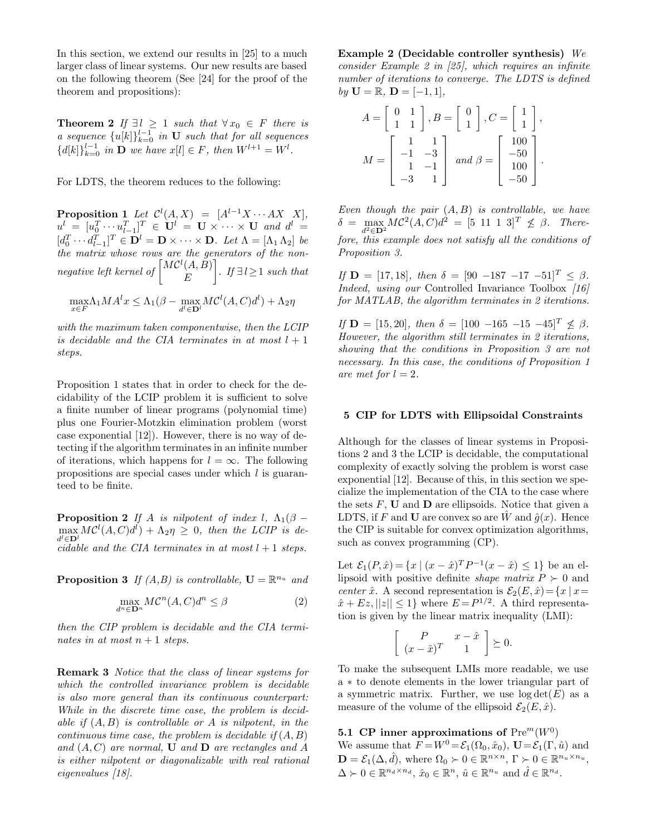In this section, we extend our results in [25] to a much larger class of linear systems. Our new results are based on the following theorem (See [24] for the proof of the theorem and propositions):

**Theorem 2** *If*  $\exists l \geq 1$  *such that*  $\forall x_0 \in F$  *there is a sequence*  ${u[k]}_{k=0}^{l-1}$  *in* **U** *such that for all sequences*  ${d[k]}_{k=0}^{l-1}$  *in* **D** *we have*  $x[l] \in F$ *, then*  $W^{l+1} = W^l$ *.* 

For LDTS, the theorem reduces to the following:

**Proposition 1** Let  $\mathcal{C}^l(A, X) = [A^{l-1}X \cdots AX \ X],$  $u^l = [u_0^T \cdots u_{l-1}^T]^T \in U^l = U \times \cdots \times U$  and  $d^l =$  $[d_0^T \cdots d_{l-1}^T]^T \in \mathbf{D}^l = \mathbf{D} \times \cdots \times \mathbf{D}$ *. Let*  $\Lambda = [\Lambda_1 \Lambda_2]$  *be the matrix whose rows are the generators of the nonnegative left kernel of*  $\left[\begin{matrix} M\mathcal{C}^l(A, \overset{\circ}{B}) \\ F \end{matrix}\right]$ E 1 *. If* ∃ l≥1 *such that*

$$
\max_{x \in F} \Lambda_1 M A^l x \le \Lambda_1 (\beta - \max_{d^l \in \mathbf{D}^l} M C^l (A, C) d^l) + \Lambda_2 \eta
$$

*with the maximum taken componentwise, then the LCIP is decidable and the CIA terminates in at most*  $l + 1$ *steps.*

Proposition 1 states that in order to check for the decidability of the LCIP problem it is sufficient to solve a finite number of linear programs (polynomial time) plus one Fourier-Motzkin elimination problem (worst case exponential [12]). However, there is no way of detecting if the algorithm terminates in an infinite number of iterations, which happens for  $l = \infty$ . The following propositions are special cases under which l is guaranteed to be finite.

**Proposition 2** *If* A *is nilpotent of index l,*  $\Lambda_1(\beta \max_{i} MC^{l}(A, C)d^{l}$  +  $\Lambda_{2}\eta \geq 0$ , then the LCIP is de $d^l \in \mathbf{D}^l$ *cidable and the CIA terminates in at most*  $l + 1$  *steps.* 

**Proposition 3** *If (A,B) is controllable,*  $\mathbf{U} = \mathbb{R}^{n_u}$  *and* 

$$
\max_{d^n \in \mathbf{D}^n} M \mathcal{C}^n(A, C) d^n \le \beta \tag{2}
$$

*then the CIP problem is decidable and the CIA terminates in at most*  $n+1$  *steps.* 

**Remark 3** *Notice that the class of linear systems for which the controlled invariance problem is decidable is also more general than its continuous counterpart: While in the discrete time case, the problem is decidable if* (A, B) *is controllable or* A *is nilpotent, in the continuous time case, the problem is decidable if* (A, B) and  $(A, C)$  are normal, **U** and **D** are rectangles and A *is either nilpotent or diagonalizable with real rational eigenvalues [18].*

**Example 2 (Decidable controller synthesis)** *We consider Example 2 in [25], which requires an infinite number of iterations to converge. The LDTS is defined*  $by \mathbf{U} = \mathbb{R}, \mathbf{D} = [-1, 1],$ 

$$
A = \begin{bmatrix} 0 & 1 \\ 1 & 1 \end{bmatrix}, B = \begin{bmatrix} 0 \\ 1 \end{bmatrix}, C = \begin{bmatrix} 1 \\ 1 \end{bmatrix},
$$

$$
M = \begin{bmatrix} 1 & 1 \\ -1 & -3 \\ 1 & -1 \\ -3 & 1 \end{bmatrix} \text{ and } \beta = \begin{bmatrix} 100 \\ -50 \\ 100 \\ -50 \end{bmatrix}.
$$

*Even though the pair* (A, B) *is controllable, we have*  $\delta = \max_{\mathbf{A}} MC^2(\mathbf{A}, \mathbf{C}) \, d^2 = [5 \; 11 \; 1 \; 3]^T \not\leq \beta.$  There- $\frac{d^2 \in \mathbf{D}^2}{dt^2}$  (1, 2),  $\frac{d^2}{dt^2}$  (1, 2),  $\frac{d^2}{dt^2}$  (1, 2),  $\frac{d^2}{dt^2}$  (1, 2),  $\frac{d^2}{dt^2}$  (1, 2),  $\frac{d^2}{dt^2}$  (1, 2),  $\frac{d^2}{dt^2}$  (1, 2),  $\frac{d^2}{dt^2}$  (1, 2),  $\frac{d^2}{dt^2}$  (1, 2),  $\frac{d^2}{dt^2}$ *Proposition 3.*

*If*  $\mathbf{D} = [17, 18]$ *, then*  $\delta = [90 -187 -17 -51]^T \leq \beta$ *. Indeed, using our* Controlled Invariance Toolbox *[16] for MATLAB, the algorithm terminates in 2 iterations.*

*If*  $\mathbf{D} = [15, 20]$ *, then*  $\delta = [100 -165 -15 -45]^T \nless \beta$ *. However, the algorithm still terminates in 2 iterations, showing that the conditions in Proposition 3 are not necessary. In this case, the conditions of Proposition 1 are met for*  $l = 2$ *.* 

### **5 CIP for LDTS with Ellipsoidal Constraints**

Although for the classes of linear systems in Propositions 2 and 3 the LCIP is decidable, the computational complexity of exactly solving the problem is worst case exponential [12]. Because of this, in this section we specialize the implementation of the CIA to the case where the sets  $F$ , **U** and **D** are ellipsoids. Notice that given a LDTS, if F and **U** are convex so are  $\hat{W}$  and  $\hat{g}(x)$ . Hence the CIP is suitable for convex optimization algorithms, such as convex programming (CP).

Let  $\mathcal{E}_1(P,\hat{x}) = \{x \mid (x-\hat{x})^T P^{-1}(x-\hat{x}) \leq 1\}$  be an ellipsoid with positive definite *shape matrix*  $P \succ 0$  and *center*  $\hat{x}$ . A second representation is  $\mathcal{E}_2(E, \hat{x}) = \{x \mid x =$  $\hat{x} + Ez, ||z|| \le 1$  where  $E = P^{1/2}$ . A third representation is given by the linear matrix inequality (LMI):

$$
\left[\begin{array}{cc} P & x - \hat{x} \\ (x - \hat{x})^T & 1 \end{array}\right] \succeq 0.
$$

To make the subsequent LMIs more readable, we use a ∗ to denote elements in the lower triangular part of a symmetric matrix. Further, we use  $log det(E)$  as a measure of the volume of the ellipsoid  $\mathcal{E}_2(E, \hat{x})$ .

**5.1 CP inner approximations of**  $Pre^{m}(W^{0})$ We assume that  $F = W^0 = \mathcal{E}_1(\Omega_0, \hat{x}_0)$ ,  $\mathbf{U} = \mathcal{E}_1(\Gamma, \hat{u})$  and

 $\mathbf{D} = \mathcal{E}_1(\Delta, \hat{d}),$  where  $\Omega_0 \succ 0 \in \mathbb{R}^{n \times n},$   $\Gamma \succ 0 \in \mathbb{R}^{n_u \times n_u}$ ,  $\Delta \succ 0 \in \mathbb{R}^{n_d \times n_d}, \, \hat{x}_0 \in \mathbb{R}^n, \, \hat{u} \in \mathbb{R}^{n_u}$  and  $\hat{d} \in \mathbb{R}^{n_d}$ .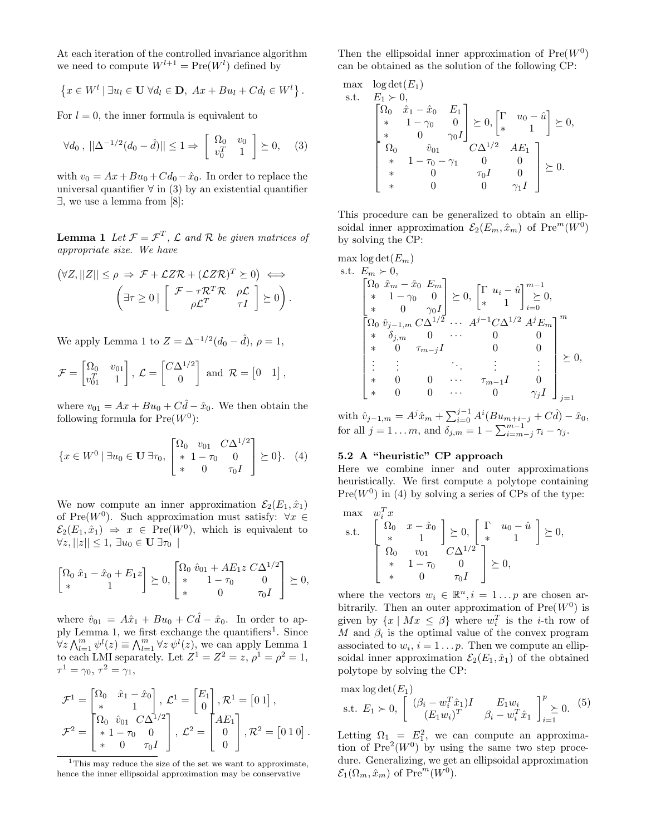At each iteration of the controlled invariance algorithm we need to compute  $W^{l+1} = \text{Pre}(W^l)$  defined by

$$
\left\{x \in W^l \mid \exists u_l \in \mathbf{U} \; \forall d_l \in \mathbf{D}, \; Ax + Bu_l + Cd_l \in W^l\right\}.
$$

For  $l = 0$ , the inner formula is equivalent to

$$
\forall d_0, \, ||\Delta^{-1/2}(d_0 - \hat{d})|| \le 1 \Rightarrow \begin{bmatrix} \Omega_0 & v_0 \\ v_0^T & 1 \end{bmatrix} \succeq 0, \quad (3)
$$

with  $v_0 = Ax + Bu_0 + Cd_0 - \hat{x}_0$ . In order to replace the universal quantifier  $\forall$  in (3) by an existential quantifier ∃, we use a lemma from [8]:

**Lemma 1** Let  $\mathcal{F} = \mathcal{F}^T$ ,  $\mathcal{L}$  and  $\mathcal{R}$  be given matrices of *appropriate size. We have*

$$
(\forall Z, ||Z|| \le \rho \Rightarrow \mathcal{F} + \mathcal{L}Z\mathcal{R} + (\mathcal{L}Z\mathcal{R})^T \succeq 0) \iff \n\left(\exists \tau \ge 0 \mid \begin{bmatrix} \mathcal{F} - \tau \mathcal{R}^T \mathcal{R} & \rho \mathcal{L} \\ \rho \mathcal{L}^T & \tau I \end{bmatrix} \succeq 0\right).
$$

We apply Lemma 1 to  $Z = \Delta^{-1/2} (d_0 - \hat{d}), \rho = 1$ ,

$$
\mathcal{F} = \begin{bmatrix} \Omega_0 & v_{01} \\ v_{01}^T & 1 \end{bmatrix}, \ \mathcal{L} = \begin{bmatrix} C\Delta^{1/2} \\ 0 \end{bmatrix} \text{ and } \mathcal{R} = \begin{bmatrix} 0 & 1 \end{bmatrix},
$$

where  $v_{01} = Ax + Bu_0 + C\hat{d} - \hat{x}_0$ . We then obtain the following formula for  $Pre(W^0)$ :

$$
\{x \in W^0 \mid \exists u_0 \in \mathbf{U} \; \exists \tau_0, \begin{bmatrix} \Omega_0 & v_{01} & C\Delta^{1/2} \\ * & 1 - \tau_0 & 0 \\ * & 0 & \tau_0 I \end{bmatrix} \succeq 0 \}. \tag{4}
$$

We now compute an inner approximation  $\mathcal{E}_2(E_1, \hat{x}_1)$ of Pre $(W^0)$ . Such approximation must satisfy:  $\forall x \in$  $\mathcal{E}_2(E_1, \hat{x}_1) \Rightarrow x \in \text{Pre}(W^0)$ , which is equivalent to  $\forall z, ||z|| \leq 1, \exists u_0 \in \mathbf{U} \exists \tau_0$ 

$$
\begin{bmatrix} \Omega_0 \ \hat{x}_1 - \hat{x}_0 + E_1 z \\ * & 1 \end{bmatrix} \succeq 0, \begin{bmatrix} \Omega_0 \ \hat{v}_{01} + AE_1 z \ C\Delta^{1/2} \\ * & 1 - \tau_0 & 0 \\ * & 0 & \tau_0 I \end{bmatrix} \succeq 0,
$$

where  $\hat{v}_{01} = A\hat{x}_1 + Bu_0 + C\hat{d} - \hat{x}_0$ . In order to apply Lemma 1, we first exchange the quantifiers<sup>1</sup>. Since  $\forall z \bigwedge_{l=1}^{m} \psi^{l}(z) \equiv \bigwedge_{l=1}^{m} \forall z \psi^{l}(z)$ , we can apply Lemma 1 to each LMI separately. Let  $Z^1 = Z^2 = z$ ,  $\rho^1 = \rho^2 = 1$ ,  $\tau^1 = \gamma_0, \tau^2 = \gamma_1,$ 

$$
\mathcal{F}^1 = \begin{bmatrix} \Omega_0 & \hat{x}_1 - \hat{x}_0 \\ * & 1 \end{bmatrix}, \ \mathcal{L}^1 = \begin{bmatrix} E_1 \\ 0 \end{bmatrix}, \mathcal{R}^1 = \begin{bmatrix} 0 & 1 \end{bmatrix}, \\ \mathcal{F}^2 = \begin{bmatrix} \Omega_0 & \hat{v}_{01} & C\Delta^{1/2} \\ * & 1 - \tau_0 & 0 \\ * & 0 & \tau_0 I \end{bmatrix}, \ \mathcal{L}^2 = \begin{bmatrix} AE_1 \\ 0 \\ 0 \end{bmatrix}, \mathcal{R}^2 = \begin{bmatrix} 0 & 1 & 0 \end{bmatrix}.
$$

Then the ellipsoidal inner approximation of  $Pre(W^0)$ can be obtained as the solution of the following CP:

max log det(E<sub>1</sub>)  
\ns.t. 
$$
E_1 > 0
$$
,  
\n
$$
\begin{bmatrix}\n\Omega_0 & \hat{x}_1 - \hat{x}_0 & E_1 \\
\ast & 1 - \gamma_0 & 0 \\
\ast & 0 & \gamma_0 I\n\end{bmatrix} \succeq 0, \begin{bmatrix}\n\Gamma & u_0 - \hat{u} \\
\ast & 1\n\end{bmatrix} \succeq 0,
$$
\n
$$
\begin{bmatrix}\n\Omega_0 & \hat{v}_{01} & 0 \\
\ast & 1 - \tau_0 - \gamma_1 & 0 & 0 \\
\ast & 0 & \tau_0 I & 0 \\
\ast & 0 & 0 & \gamma_1 I\n\end{bmatrix} \succeq 0.
$$

This procedure can be generalized to obtain an ellipsoidal inner approximation  $\mathcal{E}_2(E_m, \hat{x}_m)$  of  $\text{Pre}^m(W^0)$ by solving the CP:

max log det(
$$
E_m
$$
)  
\ns.t.  $E_m \succ 0$ ,  
\n
$$
\begin{bmatrix}\n\Omega_0 & \hat{x}_m - \hat{x}_0 & E_m \\
* & 1 - \gamma_0 & 0 \\
* & 0 & \gamma_0 I\n\end{bmatrix} \succeq 0, \begin{bmatrix}\n\Gamma & u_i - \hat{u} \\
* & 1\n\end{bmatrix} \begin{bmatrix}\n\omega_0 \\
\ge 0\n\end{bmatrix}
$$
\n
$$
\begin{bmatrix}\n\Omega_0 & \hat{v}_{j-1,m} C \Delta^{1/2} & \cdots & A^{j-1} C \Delta^{1/2} & A^j E_m \\
* & \delta_{j,m} & 0 & \cdots & 0 & 0 \\
* & 0 & \tau_{m-j} I & 0 & 0 \\
\vdots & \vdots & \ddots & \vdots & \vdots \\
* & 0 & 0 & \cdots & \tau_{m-1} I & 0 \\
* & 0 & 0 & \cdots & 0 & \gamma_j I\n\end{bmatrix} \succeq 0,
$$

with  $\hat{v}_{j-1,m} = A^j \hat{x}_m + \sum_{i=0}^{j-1} A^i (Bu_{m+i-j} + C\hat{d}) - \hat{x}_0$ , for all  $j = 1 ... m$ , and  $\delta_{j,m} = 1 - \sum_{i=m-j}^{m-1} \tau_i - \gamma_j$ .

# **5.2 A "heuristic" CP approach**

 $m = \frac{1}{2}$ 

Here we combine inner and outer approximations heuristically. We first compute a polytope containing  $Pre(W^0)$  in (4) by solving a series of CPs of the type:

$$
\begin{array}{ll}\n\max & w_i^T x \\
\text{s.t.} & \begin{bmatrix} \Omega_0 & x - \hat{x}_0 \\ * & 1 \end{bmatrix} \succeq 0, \begin{bmatrix} \Gamma & u_0 - \hat{u} \\ * & 1 \end{bmatrix} \succeq 0, \\
\begin{bmatrix} \Omega_0 & v_{01} & C\Delta^{1/2} \\ * & 1 - \tau_0 & 0 \\ * & 0 & \tau_0 I \end{bmatrix} \succeq 0,\n\end{array}
$$

where the vectors  $w_i \in \mathbb{R}^n, i = 1 \dots p$  are chosen arbitrarily. Then an outer approximation of  $Pre(W^0)$  is given by  $\{x \mid Mx \leq \beta\}$  where  $w_i^T$  is the *i*-th row of M and  $\beta_i$  is the optimal value of the convex program associated to  $w_i$ ,  $i = 1 \dots p$ . Then we compute an ellipsoidal inner approximation  $\mathcal{E}_2(E_1, \hat{x}_1)$  of the obtained polytope by solving the CP:

max log det(
$$
E_1
$$
)  
s.t.  $E_1 > 0$ ,  $\begin{bmatrix} (\beta_i - w_i^T \hat{x}_1)I & E_1w_i \\ (E_1w_i)^T & \beta_i - w_i^T \hat{x}_1 \end{bmatrix}_{i=1}^p \succeq 0.$  (5)

Letting  $\Omega_1 = E_1^2$ , we can compute an approximation of  $Pre^2(W^0)$  by using the same two step procedure. Generalizing, we get an ellipsoidal approximation  $\mathcal{E}_1(\Omega_m, \hat{x}_m)$  of  $\text{Pre}^m(W^0)$ .

<sup>&</sup>lt;sup>1</sup>This may reduce the size of the set we want to approximate, hence the inner ellipsoidal approximation may be conservative